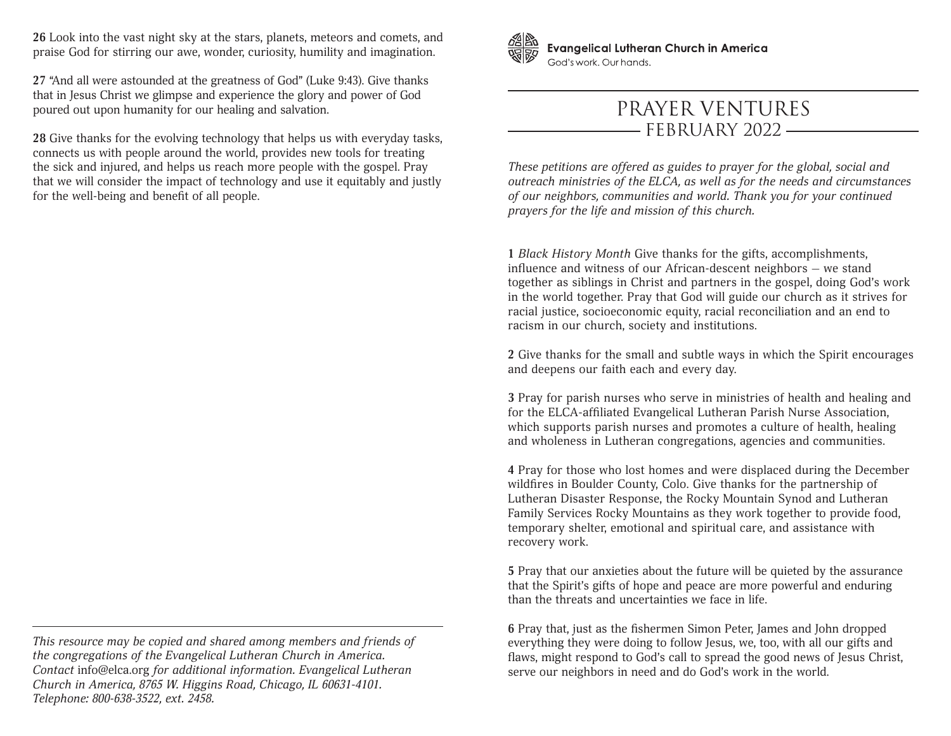**26** Look into the vast night sky at the stars, planets, meteors and comets, and praise God for stirring our awe, wonder, curiosity, humility and imagination.

**27** "And all were astounded at the greatness of God" (Luke 9:43). Give thanks that in Jesus Christ we glimpse and experience the glory and power of God poured out upon humanity for our healing and salvation.

**28** Give thanks for the evolving technology that helps us with everyday tasks, connects us with people around the world, provides new tools for treating the sick and injured, and helps us reach more people with the gospel. Pray that we will consider the impact of technology and use it equitably and justly for the well-being and benefit of all people.



**Evangelical Lutheran Church in America** God's work, Our hands.

## PRAYER VENTURES FEBRUARY 2022

*These petitions are offered as guides to prayer for the global, social and outreach ministries of the ELCA, as well as for the needs and circumstances of our neighbors, communities and world. Thank you for your continued prayers for the life and mission of this church.*

**1** *Black History Month* Give thanks for the gifts, accomplishments, influence and witness of our African-descent neighbors — we stand together as siblings in Christ and partners in the gospel, doing God's work in the world together. Pray that God will guide our church as it strives for racial justice, socioeconomic equity, racial reconciliation and an end to racism in our church, society and institutions.

**2** Give thanks for the small and subtle ways in which the Spirit encourages and deepens our faith each and every day.

**3** Pray for parish nurses who serve in ministries of health and healing and for the ELCA-affiliated Evangelical Lutheran Parish Nurse Association, which supports parish nurses and promotes a culture of health, healing and wholeness in Lutheran congregations, agencies and communities.

**4** Pray for those who lost homes and were displaced during the December wildfires in Boulder County, Colo. Give thanks for the partnership of Lutheran Disaster Response, the Rocky Mountain Synod and Lutheran Family Services Rocky Mountains as they work together to provide food, temporary shelter, emotional and spiritual care, and assistance with recovery work.

**5** Pray that our anxieties about the future will be quieted by the assurance that the Spirit's gifts of hope and peace are more powerful and enduring than the threats and uncertainties we face in life.

**6** Pray that, just as the fishermen Simon Peter, James and John dropped everything they were doing to follow Jesus, we, too, with all our gifts and flaws, might respond to God's call to spread the good news of Jesus Christ, serve our neighbors in need and do God's work in the world.

*This resource may be copied and shared among members and friends of the congregations of the Evangelical Lutheran Church in America. Contact* info@elca.org *for additional information. Evangelical Lutheran Church in America, 8765 W. Higgins Road, Chicago, IL 60631-4101. Telephone: 800-638-3522, ext. 2458.*